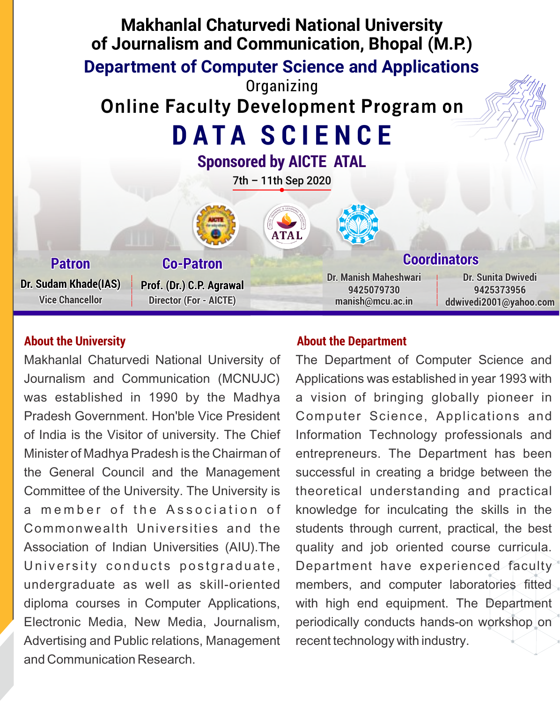

Makhanlal Chaturvedi National University of Journalism and Communication (MCNUJC) was established in 1990 by the Madhya Pradesh Government. Hon'ble Vice President of India is the Visitor of university. The Chief Minister of Madhya Pradesh is the Chairman of the General Council and the Management Committee of the University. The University is a member of the Association of Commonwealth Universities and the Association of Indian Universities (AIU).The University conducts postgraduate, undergraduate as well as skill-oriented diploma courses in Computer Applications, Electronic Media, New Media, Journalism, Advertising and Public relations, Management and Communication Research.

#### About the University **About the Department**

The Department of Computer Science and Applications was established in year 1993 with a vision of bringing globally pioneer in Computer Science, Applications and Information Technology professionals and entrepreneurs. The Department has been successful in creating a bridge between the theoretical understanding and practical knowledge for inculcating the skills in the students through current, practical, the best quality and job oriented course curricula. Department have experienced faculty members, and computer laboratories fitted with high end equipment. The Department periodically conducts hands-on workshop on recent technology with industry.